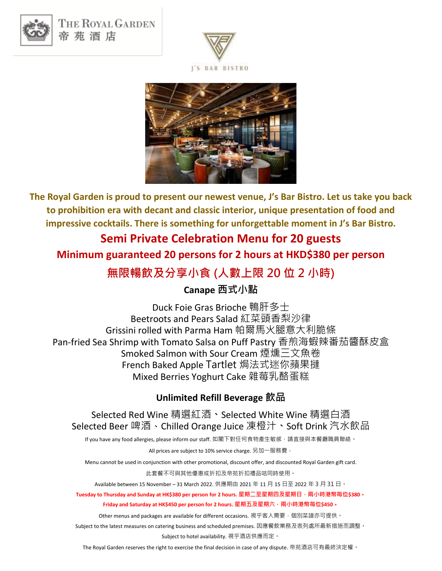

THE ROYAL GARDEN 帝苑酒店





**The Royal Garden is proud to present our newest venue, J's Bar Bistro. Let us take you back to prohibition era with decant and classic interior, unique presentation of food and impressive cocktails. There is something for unforgettable moment in J's Bar Bistro.** 

### **Semi Private Celebration Menu for 20 guests**

**Minimum guaranteed 20 persons for 2 hours at HKD\$380 per person**

## **無限暢飲及分享小食 (人數上限 20 位 2 小時)**

#### **Canape 西式小點**

Duck Foie Gras Brioche 鴨肝多士 Beetroots and Pears Salad 紅菜頭香梨沙律 Grissini rolled with Parma Ham 帕爾馬火腿意大利脆條 Pan-fried Sea Shrimp with Tomato Salsa on Puff Pastry 香煎海蝦辣番茄醬酥皮盒 Smoked Salmon with Sour Cream 煙燻三文魚卷 French Baked Apple Tartlet 焗法式迷你蘋果撻 Mixed Berries Yoghurt Cake 雜莓乳酪蛋糕

#### **Unlimited Refill Beverage 飲品**

Selected Red Wine 精選紅酒**、**Selected White Wine 精選白酒 Selected Beer 啤酒、Chilled Orange Juice 凍橙汁**、**Soft Drink 汽水飲品

If you have any food allergies, please inform our staff. 如閣下對任何食物產生敏感,請直接與本餐廳職員聯絡。

All prices are subject to 10% service charge. 另加一服務費。

Menu cannot be used in conjunction with other promotional, discount offer, and discounted Royal Garden gift card.

此套餐不可與其他優惠或折扣及帝苑折扣禮品咭同時使用。

Available between 15 November – 31 March 2022. 供應期由 2021 年 11 月 15 日至 2022 年 3 月 31 日。

**Tuesday to Thursday and Sunday at HK\$380 per person for 2 hours. 星期二至星期四及星期日,兩小時港幣每位\$380**。 **Friday and Saturday at HK\$450 per person for 2 hours. 星期五及星期六,兩小時港幣每位\$450**。

Other menus and packages are available for different occasions. 視乎客人需要, 個別菜譜亦可提供。

Subject to the latest measures on catering business and scheduled premises. 因應餐飲業務及表列處所最新措施而調整。 Subject to hotel availability. 視乎酒店供應而定。

The Royal Garden reserves the right to exercise the final decision in case of any dispute. 帝苑酒店可有最終決定權。